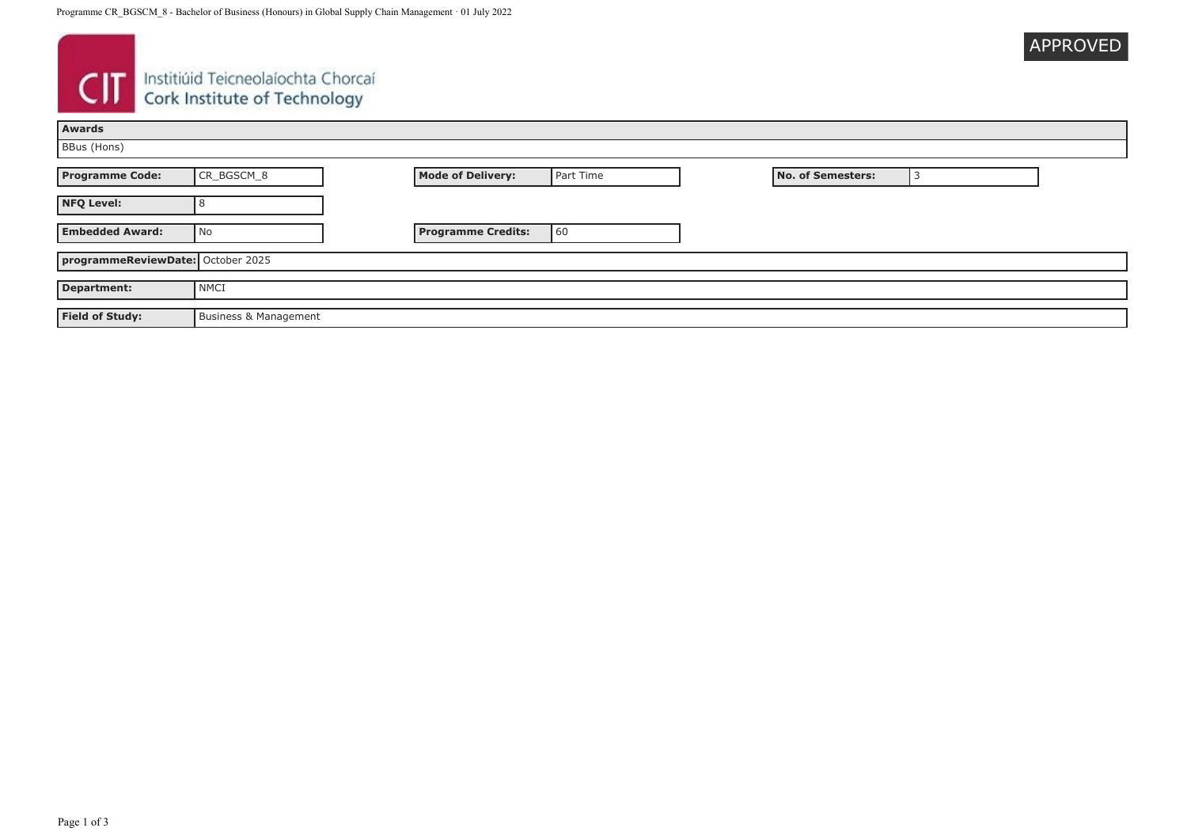| APPROVED |  |  |
|----------|--|--|
|          |  |  |

# **CIT** Instituid Teicneolaíochta Chorcaí

| <b>Awards</b>                     |                       |  |                           |           |                          |  |
|-----------------------------------|-----------------------|--|---------------------------|-----------|--------------------------|--|
| BBus (Hons)                       |                       |  |                           |           |                          |  |
| <b>Programme Code:</b>            | CR_BGSCM_8            |  | <b>Mode of Delivery:</b>  | Part Time | <b>No. of Semesters:</b> |  |
| <b>NFQ Level:</b>                 |                       |  |                           |           |                          |  |
| <b>Embedded Award:</b>            | No                    |  | <b>Programme Credits:</b> | 60        |                          |  |
| programmeReviewDate: October 2025 |                       |  |                           |           |                          |  |
| <b>Department:</b>                | NMCI                  |  |                           |           |                          |  |
| <b>Field of Study:</b>            | Business & Management |  |                           |           |                          |  |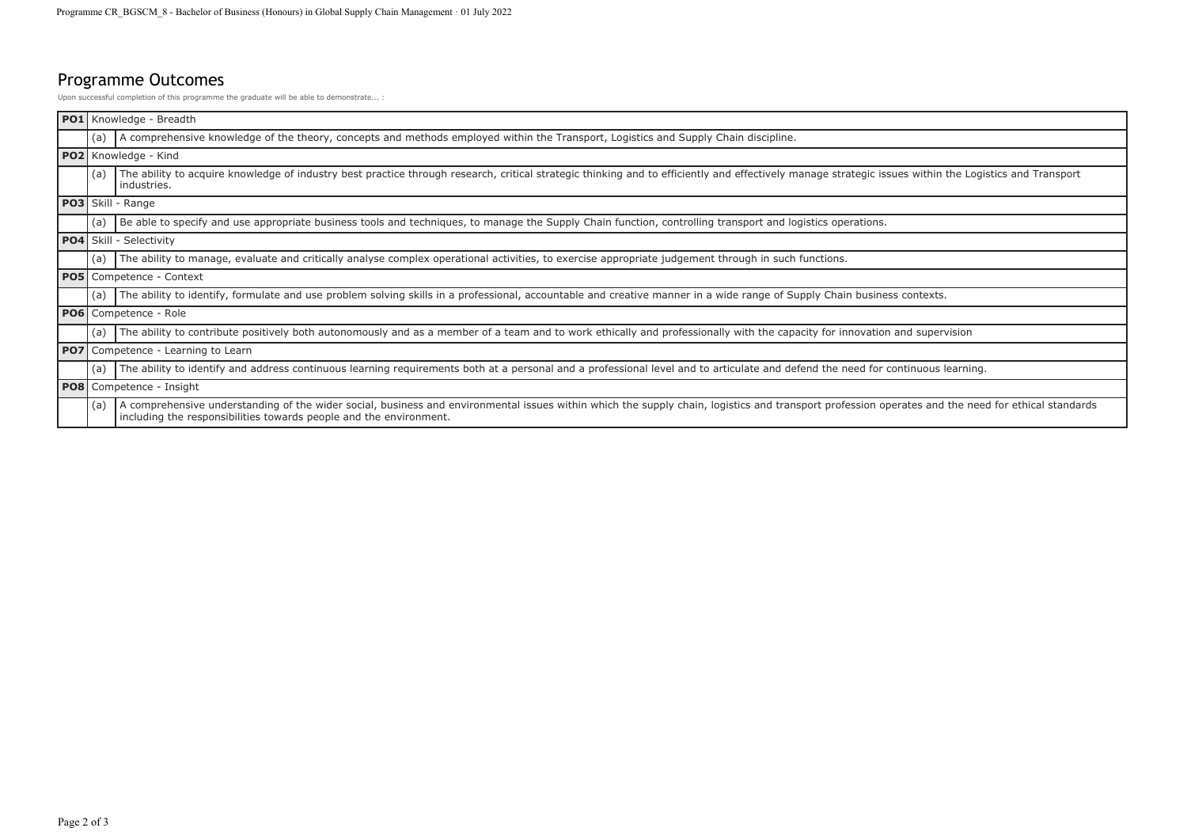## Programme Outcomes

Upon successful completion of this programme the graduate will be able to demonstrate... :

| $ $ PO1 $ $ |                                 | Knowledge - Breadth                                                                                                                                                                                                                                                      |
|-------------|---------------------------------|--------------------------------------------------------------------------------------------------------------------------------------------------------------------------------------------------------------------------------------------------------------------------|
|             | (a)                             | A comprehensive knowledge of the theory, concepts and methods employed within the Transport, Logistics and Supply Chain discipline.                                                                                                                                      |
|             |                                 | PO2 Knowledge - Kind                                                                                                                                                                                                                                                     |
|             | (a)                             | The ability to acquire knowledge of industry best practice through research, critical strategic thinking and to efficiently and effectively manage strategic issues within the Logistics and Transport<br>industries.                                                    |
|             |                                 | PO3 Skill - Range                                                                                                                                                                                                                                                        |
|             | (a                              | Be able to specify and use appropriate business tools and techniques, to manage the Supply Chain function, controlling transport and logistics operations.                                                                                                               |
|             |                                 | <b>PO4</b> Skill - Selectivity                                                                                                                                                                                                                                           |
|             | (a)                             | The ability to manage, evaluate and critically analyse complex operational activities, to exercise appropriate judgement through in such functions.                                                                                                                      |
|             | <b>PO5</b> Competence - Context |                                                                                                                                                                                                                                                                          |
|             | (a)                             | The ability to identify, formulate and use problem solving skills in a professional, accountable and creative manner in a wide range of Supply Chain business contexts.                                                                                                  |
|             |                                 | PO6 Competence - Role                                                                                                                                                                                                                                                    |
|             | (a)                             | The ability to contribute positively both autonomously and as a member of a team and to work ethically and professionally with the capacity for innovation and supervision                                                                                               |
| <b>PO7</b>  |                                 | Competence - Learning to Learn                                                                                                                                                                                                                                           |
|             | (a)                             | The ability to identify and address continuous learning requirements both at a personal and a professional level and to articulate and defend the need for continuous learning.                                                                                          |
|             | <b>PO8</b> Competence - Insight |                                                                                                                                                                                                                                                                          |
|             | (a)                             | A comprehensive understanding of the wider social, business and environmental issues within which the supply chain, logistics and transport profession operates and the need for ethical standards<br>including the responsibilities towards people and the environment. |